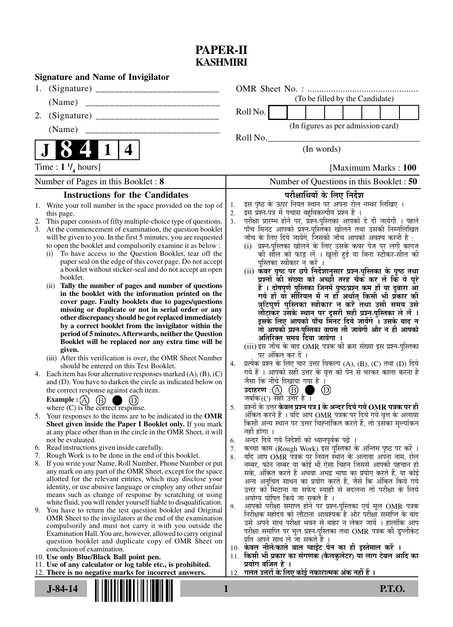## **PAPER-II KASHMIRI**

|    | <b>Signature and Name of Invigilator</b>                                                                                       |          |                                                                                                                               |                   |                                                                                                               |     |  |  |  |  |  |  |
|----|--------------------------------------------------------------------------------------------------------------------------------|----------|-------------------------------------------------------------------------------------------------------------------------------|-------------------|---------------------------------------------------------------------------------------------------------------|-----|--|--|--|--|--|--|
| 1. |                                                                                                                                |          |                                                                                                                               |                   |                                                                                                               |     |  |  |  |  |  |  |
|    | (Name)                                                                                                                         |          |                                                                                                                               |                   | (To be filled by the Candidate)                                                                               |     |  |  |  |  |  |  |
| 2. |                                                                                                                                |          | Roll No.                                                                                                                      |                   |                                                                                                               |     |  |  |  |  |  |  |
|    | (Name)                                                                                                                         |          |                                                                                                                               |                   | (In figures as per admission card)                                                                            |     |  |  |  |  |  |  |
|    |                                                                                                                                |          | Roll No.                                                                                                                      |                   |                                                                                                               |     |  |  |  |  |  |  |
|    | 4                                                                                                                              |          |                                                                                                                               |                   | (In words)                                                                                                    |     |  |  |  |  |  |  |
|    | Time : $1 \frac{1}{4}$ hours]                                                                                                  |          | [Maximum Marks: 100]                                                                                                          |                   |                                                                                                               |     |  |  |  |  |  |  |
|    | Number of Pages in this Booklet: 8                                                                                             |          |                                                                                                                               |                   | Number of Questions in this Booklet: 50                                                                       |     |  |  |  |  |  |  |
|    | <b>Instructions for the Candidates</b>                                                                                         |          |                                                                                                                               |                   | परीक्षार्थियों के लिए निर्देश                                                                                 |     |  |  |  |  |  |  |
|    | 1. Write your roll number in the space provided on the top of                                                                  | 1.       | इस पृष्ठ के ऊपर नियत स्थान पर अपना रोल नम्बर लिखिए ।                                                                          |                   |                                                                                                               |     |  |  |  |  |  |  |
|    | this page.<br>This paper consists of fifty multiple-choice type of questions.                                                  | 2.<br>3. | इस प्रश्न-पत्र में पचास बहुविकल्पीय प्रश्न हैं ।<br>परीक्षा प्रारम्भ होने पर, प्रश्न-पुस्तिका आपको दे दी जायेगी । पहले        |                   |                                                                                                               |     |  |  |  |  |  |  |
| 3. | At the commencement of examination, the question booklet                                                                       |          | पाँच मिनट आपको प्रश्न-पुस्तिका खोलने तथा उसकी निम्नलिखित                                                                      |                   |                                                                                                               |     |  |  |  |  |  |  |
|    | will be given to you. In the first 5 minutes, you are requested                                                                |          | जाँच के लिए दिये जायेंगे, जिसकी जाँच आपको अवश्य करनी है :                                                                     |                   |                                                                                                               |     |  |  |  |  |  |  |
|    | to open the booklet and compulsorily examine it as below :                                                                     |          | (i) प्रश्न-पुस्तिका खोलने के लिए उसके कवर पेज पर लगी कागज                                                                     |                   |                                                                                                               |     |  |  |  |  |  |  |
|    | To have access to the Question Booklet, tear off the<br>(i)<br>paper seal on the edge of this cover page. Do not accept        |          |                                                                                                                               |                   | की सील को फाड़ लें । खुली हुई या बिना स्टीकर-सील की<br>पुस्तिका स्वीकार न करें ।                              |     |  |  |  |  |  |  |
|    | a booklet without sticker-seal and do not accept an open                                                                       |          |                                                                                                                               |                   |                                                                                                               |     |  |  |  |  |  |  |
|    | booklet.                                                                                                                       |          | (ii) कॅवर पृष्ठ पर छपे निर्देशानुसार प्रश्न-पुस्तिका के पृष्ठ तथा<br>प्रश्नों की संख्या को अच्छी तरह चैक कर लें कि ये पूरे    |                   |                                                                                                               |     |  |  |  |  |  |  |
|    | Tally the number of pages and number of questions<br>(ii)<br>in the booklet with the information printed on the                |          |                                                                                                                               |                   | हैं । दोषपूर्ण पुस्तिका जिनमें पृष्ठ/प्रश्न कम हों या दुबारा आ                                                |     |  |  |  |  |  |  |
|    | cover page. Faulty booklets due to pages/questions                                                                             |          |                                                                                                                               |                   | गये हों यो सौरियल में न हों अर्थात् किसी भी प्रॅकार की<br>त्रुटिपूर्ण पुस्तिका स्वीकार न करें तथा उसी समय उसे |     |  |  |  |  |  |  |
|    | missing or duplicate or not in serial order or any                                                                             |          |                                                                                                                               |                   | लौटाकर उसके स्थान पर दूसरी सही प्रश्न-पुस्तिका ले लें ।                                                       |     |  |  |  |  |  |  |
|    | other discrepancy should be got replaced immediately                                                                           |          |                                                                                                                               |                   | इसके लिए आपको पाँच मिंनट दिये जायेंगे । उसके बाद न                                                            |     |  |  |  |  |  |  |
|    | by a correct booklet from the invigilator within the<br>period of 5 minutes. Afterwards, neither the Question                  |          |                                                                                                                               |                   | तो आपकी प्रश्न-पुस्तिका वापस ली जायेगी और न ही आपको                                                           |     |  |  |  |  |  |  |
|    | Booklet will be replaced nor any extra time will be                                                                            |          | (iii) इस जाँच के बाद OMR पत्रक की क्रम संख्या इस प्रश्न-पुस्तिका                                                              |                   | अतिरिक्त समय दिया जायेगा ।                                                                                    |     |  |  |  |  |  |  |
|    | given.                                                                                                                         |          |                                                                                                                               | पर अंकित कर दें । |                                                                                                               |     |  |  |  |  |  |  |
|    | (iii) After this verification is over, the OMR Sheet Number<br>should be entered on this Test Booklet.                         | 4.       | प्रत्येक प्रश्न के लिए चार उत्तर विकल्प (A), (B), (C) तथा (D) दिये                                                            |                   |                                                                                                               |     |  |  |  |  |  |  |
|    | 4. Each item has four alternative responses marked $(A)$ , $(B)$ , $(C)$                                                       |          | गये हैं । आपको सही उत्तर के वृत्त को पेन से भरकर काला करना है                                                                 |                   |                                                                                                               |     |  |  |  |  |  |  |
|    | and (D). You have to darken the circle as indicated below on                                                                   |          | जैसा कि नीचे दिखाया गया है ।                                                                                                  |                   |                                                                                                               |     |  |  |  |  |  |  |
|    | the correct response against each item.                                                                                        |          | उदाहरण $\,:\! (A)$<br>जबकि(C) सही उत्तर है।                                                                                   | (B)               |                                                                                                               | (D) |  |  |  |  |  |  |
|    | Example : $(A)$<br>(B)<br>where $(C)$ is the correct response.                                                                 | 5.       | प्रश्नों के उत्तर <b>केवल प्रश्न पत्र I के अन्दर दिये गये OMR पत्रक पर ही</b>                                                 |                   |                                                                                                               |     |  |  |  |  |  |  |
|    | 5. Your responses to the items are to be indicated in the OMR                                                                  |          | अंकित करने हैं । यदि आप OMR पत्रक पर दिये गये वृत्त के अलावा                                                                  |                   |                                                                                                               |     |  |  |  |  |  |  |
|    | Sheet given inside the Paper I Booklet only. If you mark                                                                       |          | किसी अन्य स्थान पर उत्तर चिह्नांकित करते हैं, तो उसका मूल्यांकन                                                               |                   |                                                                                                               |     |  |  |  |  |  |  |
|    | at any place other than in the circle in the OMR Sheet, it will<br>not be evaluated.                                           | 6.       | नहीं होगा ।<br>अन्दर दिये गये निर्देशों को ध्यानपूर्वकू पढ़ें ।                                                               |                   |                                                                                                               |     |  |  |  |  |  |  |
|    | 6. Read instructions given inside carefully.                                                                                   | 7.       | कच्चा काम (Rough Work) इस पुस्तिका के अन्तिम पृष्ठ पर करें ।                                                                  |                   |                                                                                                               |     |  |  |  |  |  |  |
| 7. | Rough Work is to be done in the end of this booklet.                                                                           | 8.       | यदि आप OMR पत्रक पर नियत स्थान के अलावा अपना नाम, रोल                                                                         |                   |                                                                                                               |     |  |  |  |  |  |  |
|    | 8. If you write your Name, Roll Number, Phone Number or put<br>any mark on any part of the OMR Sheet, except for the space     |          | नम्बर, फोन नम्बर या कोई भी ऐसा चिह्न जिससे आपकी पहचान हो                                                                      |                   |                                                                                                               |     |  |  |  |  |  |  |
|    | allotted for the relevant entries, which may disclose your                                                                     |          | सके, अंकित करते हैं अथवा अभद्र भाषा का प्रयोग करते हैं, या कोई<br>अन्य अनुचित साधन का प्रयोग करते हैं, जैसे कि अंकित किये गये |                   |                                                                                                               |     |  |  |  |  |  |  |
|    | identity, or use abusive language or employ any other unfair                                                                   |          | उत्तर को मिटाना या सफेद स्याही से बदलना तो परीक्षा के लिये                                                                    |                   |                                                                                                               |     |  |  |  |  |  |  |
|    | means such as change of response by scratching or using                                                                        |          | अयोग्य घोषित किये जा सकते हैं ।                                                                                               |                   |                                                                                                               |     |  |  |  |  |  |  |
| 9. | white fluid, you will render yourself liable to disqualification.<br>You have to return the test question booklet and Original | 9.       | आपको परीक्षा समाप्त होने पर प्रश्न-पुस्तिका एवं मूल OMR पत्रक                                                                 |                   |                                                                                                               |     |  |  |  |  |  |  |
|    | OMR Sheet to the invigilators at the end of the examination                                                                    |          | निरीक्षक महोदय को लौटाना आवश्यक है और परीक्षा समाप्ति के बाद<br>उसे अपने साथ परीक्षा भवन से बाहर न लेकर जायें । हालांकि आप    |                   |                                                                                                               |     |  |  |  |  |  |  |
|    | compulsorily and must not carry it with you outside the                                                                        |          | परीक्षा समाप्ति पर मूल प्रश्न-पुस्तिका तथा OMR पत्रक की डुप्लीकेट                                                             |                   |                                                                                                               |     |  |  |  |  |  |  |
|    | Examination Hall. You are, however, allowed to carry original<br>question booklet and duplicate copy of OMR Sheet on           |          | प्रति अपने साथ ले जा सकते हैं ।                                                                                               |                   |                                                                                                               |     |  |  |  |  |  |  |
|    | conclusion of examination.                                                                                                     |          | 10. केवल नीले/काले बाल प्वाईट पेन का ही इस्तेमाल करें ।                                                                       |                   |                                                                                                               |     |  |  |  |  |  |  |
|    | 10. Use only Blue/Black Ball point pen.<br>11. Use of any calculator or log table etc., is prohibited.                         |          | 11. किसी भी प्रकार का संगणक (कैलकुलेटर) या लाग टेबल आदि का<br>प्रयोग वर्जित है ।                                              |                   |                                                                                                               |     |  |  |  |  |  |  |
|    | 12. There is no negative marks for incorrect answers.                                                                          |          | 12.   गलत उत्तरों के लिए कोई नकारात्मक अंक नहीं हैं ।                                                                         |                   |                                                                                                               |     |  |  |  |  |  |  |
|    |                                                                                                                                |          |                                                                                                                               |                   |                                                                                                               |     |  |  |  |  |  |  |
|    | <b>P.T.O.</b><br>$J-84-14$<br>1                                                                                                |          |                                                                                                                               |                   |                                                                                                               |     |  |  |  |  |  |  |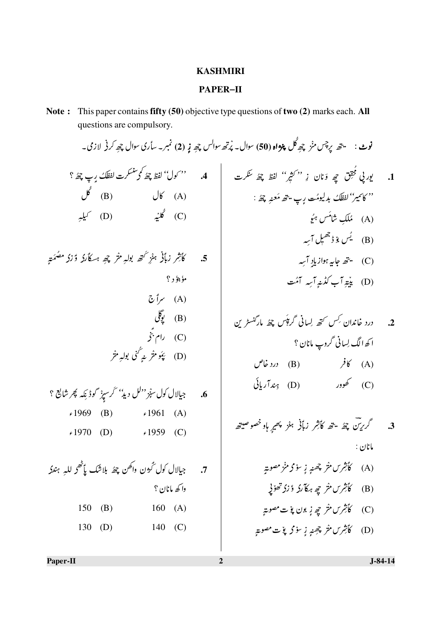## **KASHMIRI**

## PAPER-II

Note: This paper contains fifty (50) objective type questions of two (2) marks each. All questions are compulsory.

|                                                                                                                                 |              | <b>نوٹ : سیتھ پرچس منز چھ گل پنواہ (50</b> ) سوال۔ پرتھ سواکس چھ ن <b>ہ (2) نمبر۔ س</b> أری سوال چھ کرنی لازمی۔ |           |
|---------------------------------------------------------------------------------------------------------------------------------|--------------|-----------------------------------------------------------------------------------------------------------------|-----------|
|                                                                                                                                 |              | 1.     يور پي محقق     چو  دَنان   نه '' كثير''   لفظ   چھُ سَكَرت                                              |           |
| $\bigcup^{\circ}$ (B) $\bigcup^{\circ}$ (A)                                                                                     |              | .<br>`` كاتىمير''لفظك بدليومُت رِپ يىتھ مُعن <sub>تر</sub> چھُ :                                                |           |
| $\star$ گنیه (D) کیلیږ (C)                                                                                                      |              | (A) مُلَكِ شَامَس ہُوُ                                                                                          |           |
|                                                                                                                                 |              |                                                                                                                 |           |
|                                                                                                                                 |              | (C) شخصه جابه ہواز پادِ آسِه                                                                                    |           |
| مؤجؤو؟                                                                                                                          |              | (D) پنيټرآب <i>کڈین<sub>و</sub>آسِ</i> آمُت                                                                     |           |
| (A) سراً ج                                                                                                                      |              |                                                                                                                 |           |
|                                                                                                                                 |              | 2.           درد خاندان <sup>رِ</sup> س ستھ لِسانی گر <del>پ</del> ئس چھُ مارگنسٹر <u>بن</u>                    |           |
| (C) رام بَخ                                                                                                                     |              | ا کھ الگ لِسانی گروپ مانان ؟                                                                                    |           |
| (D)     پَهُو مثر بهِ تَمَىٰ بولبِه مثر                                                                                         |              | (A) کافر (B) دردخاص                                                                                             |           |
| <b>6.</b> جیالال کول س <sub>ن</sub> ېز <sup>د د</sup> لل د ید <sup>، س</sup> گر سپ <sub>نز</sub> گوڈ <sub>جک</sub> ه پھر شایع ؟ |              | ريائی) کھوور (D) پندآريائی)                                                                                     |           |
| $\star 1969$ (B) $\star 1961$ (A)                                                                                               |              |                                                                                                                 |           |
| $\star 1970$ (D) $\star 1959$ (C)                                                                                               |              | مانان :                                                                                                         |           |
|                                                                                                                                 |              | (A)       كَأْثِرَس مثر چھنڊِ زِ سَوْكُر مُنْز مصوبتِهِ                                                         |           |
| 7.        جيالال كول تَردون واكفن چھُ بلاشَك پأٹھح للبہِ ہندكِ<br>وا کھ مانان ؟                                                 |              |                                                                                                                 |           |
|                                                                                                                                 |              |                                                                                                                 |           |
| 150<br>(B)<br>160(A)                                                                                                            |              | (C)       كَأْشِرَس مثر   جِهِ زِ بون پوْ ت مصوبةٍ                                                              |           |
| 140<br>130<br>(C)<br>(D)                                                                                                        |              | (D) كَأَثِرَسَ مِثْرَ چَصِنِهِ زِيزِ كَرْبِوْتِ مصوبةٍ                                                          |           |
| Paper-II                                                                                                                        | $\mathbf{2}$ |                                                                                                                 | $J-84-14$ |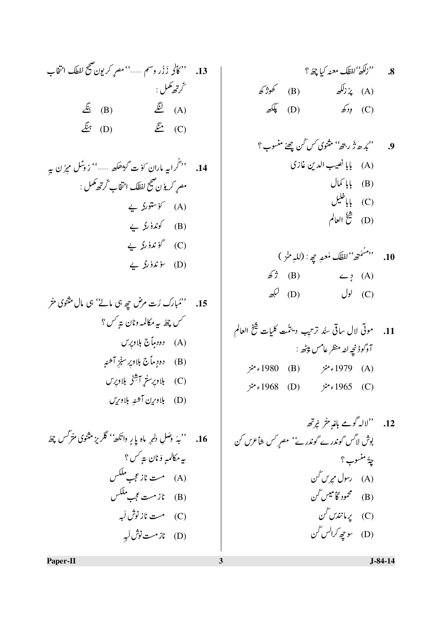13. ''کاٹر زَزُر وسم ……'' مصرِ کریون صحیح لفطک انتخاب<br>تُرتھ ممل :<br>(A) لنگے (B) بنگے<br>(C) منگے (D)

14. 
$$
{}^{\prime\prime}(\cdot)
$$
 14.  ${}^{\prime\prime}(\cdot)$  14.  ${}^{\prime\prime}(\cdot)$  14.  ${}^{\prime\prime}(\cdot)$  14.  ${}^{\prime\prime}(\cdot)$  14.  ${}^{\prime\prime}(\cdot)$  15.  ${}^{\prime\prime}(\cdot)$  16.  ${}^{\prime\prime}(\cdot)$  17.  ${}^{\prime\prime}(\cdot)$  18.  ${}^{\prime\prime}(\cdot)$  19.  ${}^{\prime\prime}(\cdot)$  19.  ${}^{\prime\prime}(\cdot)$  19.  ${}^{\prime\prime}(\cdot)$  19.  ${}^{\prime\prime}(\cdot)$  10.  ${}^{\prime\prime}(\cdot)$  11.  ${}^{\prime\prime}(\cdot)$  12.  ${}^{\prime\prime}(\cdot)$  13.  ${}^{\prime\prime}(\cdot)$  14.  ${}^{\prime\prime}(\cdot)$  15.  ${}^{\prime\prime}(\cdot)$  16.  ${}^{\prime\prime}(\cdot)$  17.  ${}^{\prime\prime}(\cdot)$  18.  ${}^{\prime\prime}(\cdot)$  19.  ${}^{\prime\prime}(\cdot)$  19.  ${}^{\prime\prime}(\cdot)$  10.  ${}^{\prime\prime}(\cdot)$  19.  ${}^{\prime\prime}(\cdot)$  19.  ${}^{\prime\prime}(\cdot)$  19.  ${}^{\prime\prime}(\cdot)$  19.  ${}^{\prime\prime}(\cdot)$  19.  ${}^{\prime\prime}(\cdot)$  19.  ${}^{\prime\prime}(\cdot)$  19.  ${}^{\prime\prime}(\cdot)$  19.  ${}^{\prime\prime}(\cdot)$  19.  ${}^{\prime\prime}(\cdot)$  19.  ${}^{\prime\prime}(\cdot)$  19.  ${}^{\prime\prime}(\cdot)$  19.  ${}^{\prime\prime}(\cdot)$  19.  ${}^{\prime\prime}(\cdot)$  19.  ${}^{\prime\prime}(\cdot)$  19. 

8. 
$$
{}^{''}(\overline{k}_{\alpha}^{a})
$$
 (B)  
\n $\hat{\mu}^{a}(\overline{k})$  (C)  
\n $\hat{\mu}^{a}(\overline{k})$  (D)  
\n $\hat{\mu}^{a}(\overline{k})$  (E)  
\n $\hat{\mu}^{a}(\overline{k})$  (E)

9. 
$$
{}^{''}\star\alpha
$$
 تَرَ ${}^{*}\alpha$  "بُ $\lambda$  وَتَرَ  ${}^{*}\alpha$ " مُتُوک سَ گن چھٰ منموب ?  
(A) بابِا گیل  
(B) بابِ گیل  
(C)  ${}^{4}\frac{4}{\sqrt{3}}$  (D)

10. 
$$
h^2 \rightarrow \frac{1}{2}
$$
  
\n(A)  $h^2 \rightarrow \frac{1}{2}$   
\n(B)  $h^2 \rightarrow \frac{1}{2}$   
\n(C)  $h^2 \rightarrow \frac{1}{2}$ 

12. 
$$
''''
$$
  
\n12.  $''''$   
\n $4\pi$   
\n $4\pi$   
\n $4\pi$   
\n $4\pi$   
\n $4\pi$   
\n $4\pi$   
\n $4\pi$   
\n $4\pi$   
\n $4\pi$   
\n $4\pi$   
\n $4\pi$   
\n $4\pi$   
\n $4\pi$   
\n $4\pi$   
\n $4\pi$   
\n $4\pi$   
\n $4\pi$   
\n $4\pi$   
\n $4\pi$   
\n $4\pi$   
\n $4\pi$   
\n $4\pi$   
\n $4\pi$   
\n $4\pi$   
\n $4\pi$   
\n $4\pi$   
\n $4\pi$   
\n $4\pi$   
\n $4\pi$   
\n $4\pi$   
\n $4\pi$   
\n $4\pi$   
\n $4\pi$   
\n $4\pi$   
\n $4\pi$   
\n $4\pi$   
\n $4\pi$   
\n $4\pi$   
\n $4\pi$   
\n $4\pi$   
\n $4\pi$   
\n $4\pi$   
\n $4\pi$   
\n $4\pi$   
\n $4\pi$   
\n $4\pi$   
\n $4\pi$   
\n $4\pi$   
\n $4\pi$   
\n $4\pi$   
\n $4\pi$   
\n $4\pi$   
\n $4\pi$   
\n $4\pi$   
\n $4\pi$   
\n $4\pi$   
\n $4\pi$   
\n $4\pi$   
\n $4\pi$   
\n $4\pi$   
\n $4\pi$   
\n $4\$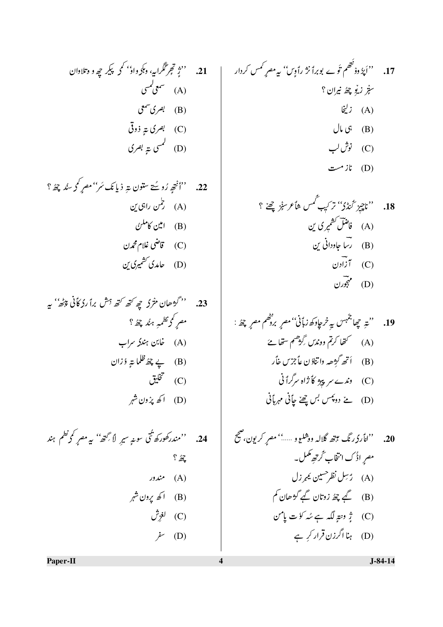17. *''اپَدُ* ووَ تُقھ تُوران ؟
$$
\hat{\mu} = \hat{\mu} \hat{\mu} \hat{\nu}
$$
 (A) 
$$
\hat{\mu} = \hat{\mu} \hat{\nu}
$$
 (B) 
$$
\hat{\mu} = \hat{\mu} \hat{\nu}
$$
 (C) 
$$
\hat{\mu} = \hat{\mu} \hat{\nu}
$$
 (D) 
$$
\hat{\nu} = \hat{\nu} \hat{\nu}
$$
 (E) 
$$
\hat{\nu} = \hat{\nu} \hat{\nu}
$$
 (E) 
$$
\hat{\nu} = \hat{\nu} \hat{\nu}
$$
 (E) 
$$
\hat{\nu} = \hat{\nu} \hat{\nu}
$$
 (E) 
$$
\hat{\nu} = \hat{\nu} \hat{\nu}
$$
 (E) 
$$
\hat{\nu} = \hat{\nu} \hat{\nu}
$$
 (E) 
$$
\hat{\nu} = \hat{\nu} \hat{\nu}
$$
 (E) 
$$
\hat{\nu} = \hat{\nu} \hat{\nu}
$$
 (E) 
$$
\hat{\nu} = \hat{\nu} \hat{\nu}
$$
 (E) 
$$
\hat{\nu} = \hat{\nu} \hat{\nu}
$$
 (E) 
$$
\hat{\nu} = \hat{\nu} \hat{\nu}
$$
 (E) 
$$
\hat{\nu} = \hat{\nu} \hat{\nu}
$$
 (E) 
$$
\hat{\nu} = \hat{\nu} \hat{\nu}
$$
 (E) 
$$
\hat{\nu} = \hat{\nu} \hat{\nu}
$$
 (E) 
$$
\hat{\nu} = \hat{\nu} \hat{\nu}
$$
 (E) 
$$
\hat{\nu} = \hat{\nu} \hat{\nu}
$$
 (E) 
$$
\hat{\nu} = \hat{\nu} \hat{\nu}
$$
 (E) 
$$
\hat{\nu} = \hat{\nu} \hat{\nu}
$$
 (E) 
$$
\hat{\nu} = \hat{\nu} \hat{\nu}
$$
 (E) 
$$
\hat{\nu} = \hat{\nu} \hat{\nu}
$$
 (E) 
$$
\hat{\nu} = \hat{\nu} \hat{\nu}
$$
 (E) 
$$
\hat{\nu} = \hat{\nu} \hat{\nu}
$$
 (E) 
$$
\hat{\nu} = \hat{\nu} \hat{\nu}
$$
 (E) 
$$
\hat{\nu} = \hat{\nu} \hat{\nu}
$$

 $\overline{\mathbf{4}}$ 

22. 
$$
{}^{\prime\prime}\hat{i}_{\tilde{\varphi}}\hat{i}_{\tilde{\varphi}}\hat{j}_{\tilde{\varphi}}\hat{k}_{\tilde{\varphi}}\hat{k}_{\tilde{\varphi}}\hat{k}_{\tilde{\varphi}}\hat{k}_{\tilde{\varphi}}\hat{k}_{\tilde{\varphi}}\hat{k}_{\tilde{\varphi}}\hat{k}_{\tilde{\varphi}}\hat{k}_{\tilde{\varphi}}\hat{k}_{\tilde{\varphi}}\hat{k}_{\tilde{\varphi}}\hat{k}_{\tilde{\varphi}}\hat{k}_{\tilde{\varphi}}\hat{k}_{\tilde{\varphi}}\hat{k}_{\tilde{\varphi}}\hat{k}_{\tilde{\varphi}}\hat{k}_{\tilde{\varphi}}\hat{k}_{\tilde{\varphi}}\hat{k}_{\tilde{\varphi}}\hat{k}_{\tilde{\varphi}}\hat{k}_{\tilde{\varphi}}\hat{k}_{\tilde{\varphi}}\hat{k}_{\tilde{\varphi}}\hat{k}_{\tilde{\varphi}}\hat{k}_{\tilde{\varphi}}\hat{k}_{\tilde{\varphi}}\hat{k}_{\tilde{\varphi}}\hat{k}_{\tilde{\varphi}}\hat{k}_{\tilde{\varphi}}\hat{k}_{\tilde{\varphi}}\hat{k}_{\tilde{\varphi}}\hat{k}_{\tilde{\varphi}}\hat{k}_{\tilde{\varphi}}\hat{k}_{\tilde{\varphi}}\hat{k}_{\tilde{\varphi}}\hat{k}_{\tilde{\varphi}}\hat{k}_{\tilde{\varphi}}\hat{k}_{\tilde{\varphi}}\hat{k}_{\tilde{\varphi}}\hat{k}_{\tilde{\varphi}}\hat{k}_{\tilde{\varphi}}\hat{k}_{\tilde{\varphi}}\hat{k}_{\tilde{\varphi}}\hat{k}_{\tilde{\varphi}}\hat{k}_{\tilde{\varphi}}\hat{k}_{\tilde{\varphi}}\hat{k}_{\tilde{\varphi}}\hat{k}_{\tilde{\varphi}}\hat{k}_{\tilde{\varphi}}\hat{k}_{\tilde{\varphi}}\hat{k}_{\tilde{\varphi}}\hat{k}_{\tilde{\varphi}}\hat{k}_{\tilde{\varphi}}\hat{k}_{\tilde{\varphi}}\hat{k}_{\tilde{\varphi}}\hat{k}_{\tilde{\varphi}}\hat{k}_{\tilde{\varphi}}\hat{k}_{\tilde{\varphi}}\hat{k}_{\tilde{\varphi}}\hat{k}_{\tilde{\varphi}}\hat{k}_{\tilde{\varphi}}\hat{k}_{\tilde{\varphi}}\hat{k}_{\tilde{\varphi}}\hat{k}_{\tilde{\varphi}}\hat{k}_{\tilde{\varphi}}\hat{k}_{\tilde{\varphi}}\hat{k}_{\
$$

23. 
$$
{}^{67}e^{i\pi}
$$
 23.  ${}^{68}e^{i\pi}$  24.  ${}^{69}e^{i\pi}$  25.  ${}^{69}e^{i\pi}$  26.  ${}^{69}e^{i\pi}$  27.  ${}^{69}e^{i\pi}$  28.  ${}^{69}e^{i\pi}$  29.  ${}^{69}e^{i\pi}$  20.  ${}^{69}e^{i\pi}$  21.  ${}^{69}e^{i\pi}$  22.  ${}^{69}e^{i\pi}$  24.  ${}^{69}e^{i\pi}$  25.  ${}^{69}e^{i\pi}$  26.  ${}^{69}e^{i\pi}$  27.  ${}^{69}e^{i\pi}$  28.  ${}^{69}e^{i\pi}$  29.  ${}^{69}e^{i\pi}$  20.  ${}^{69}e^{i\pi}$  21.  ${}^{69}e^{i\pi}$  23.  ${}^{69}e^{i\pi}$  25.  ${}^{69}e^{i\pi}$  27.  ${}^{69}e^{i\pi}$  28.  ${}^{69}e^{i\pi}$  29.  ${}^{69}e^{i\pi}$  20.  ${}^{69}e^{i\pi}$  21.  ${}^{69}e^{i\pi}$  23.  ${}^{69}e^{i\pi}$  24.  ${}^{69}e^{i\pi}$  25.  ${}^{69}e^{i\pi}$  26.  ${}^{69}e^{i\pi}$  27.  ${}^{69}e^{i\pi}$  28.  ${}^{69}e^{i\pi}$  29.  ${}^{69}e^{i\pi}$  20.  ${}^{69}e^{i\pi}$  21.  ${}^{69}e^{i\pi}$  22.  ${}^{69}e^{i\pi}$  23.  ${}^{69}e^{i\pi}$  24.  ${}^{69}e^{i\pi}$  25. 

24: 
$$
{}^{6}{}^{6}C_0\overline{C}_0\overline{C}_0\overline{C}_0\overline{C}_0\overline{C}_0\overline{C}_0\overline{C}_0\overline{C}_0\overline{C}_0\overline{C}_0\overline{C}_0\overline{C}_0\overline{C}_0\overline{C}_0\overline{C}_0\overline{C}_0\overline{C}_0\overline{C}_0\overline{C}_0\overline{C}_0\overline{C}_0\overline{C}_0\overline{C}_0\overline{C}_0\overline{C}_0\overline{C}_0\overline{C}_0\overline{C}_0\overline{C}_0\overline{C}_0\overline{C}_0\overline{C}_0\overline{C}_0\overline{C}_0\overline{C}_0\overline{C}_0\overline{C}_0\overline{C}_0\overline{C}_0\overline{C}_0\overline{C}_0\overline{C}_0\overline{C}_0\overline{C}_0\overline{C}_0\overline{C}_0\overline{C}_0\overline{C}_0\overline{C}_0\overline{C}_0\overline{C}_0\overline{C}_0\overline{C}_0\overline{C}_0\overline{C}_0\overline{C}_0\overline{C}_0\overline{C}_0\overline{C}_0\overline{C}_0\overline{C}_0\overline{C}_0\overline{C}_0\overline{C}_0\overline{C}_0\overline{C}_0\overline{C}_0\overline{C}_0\overline{C}_0\overline{C}_0\overline{C}_0\overline{C}_0\overline{C}_0\overline{C}_0\overline{C}_0\overline{C}_0\overline{C}_0\overline{C}_0\overline{C}_0\overline{C}_0\overline{C}_0\overline{C}_0\overline{C}_0\overline{C}_0\overline{C}_0\overline{C}_0\overline{C}_0\overline{C}_0\overline{C}_0\overline{C}_0\overline{C}_0\overline{C}_0\overline{C}_0\overline{C}_0\overline{C}_0\overline{C}_0\overline{C}_0\overline{C}_0\overline{C}_0\overline{C}_0\overline{C}_0\overline{C}_0\overline{C}_0\overline{C}_0\overline{C}_0\overline{C}_0\overline{C}_
$$

18.  
\n18: 
$$
{}^{11}\tilde{z}_{7} \times {}^{11}\tilde{z}_{7} \times {}^{12}\tilde{z}_{7} \times {}^{13}\tilde{z}_{7} \times {}^{14}\tilde{z}_{7} \times {}^{15}\tilde{z}_{7} \times {}^{16}\tilde{z}_{7} \times {}^{17}\tilde{z}_{7} \times {}^{18}\tilde{z}_{7} \times {}^{19}\tilde{z}_{7} \times {}^{19}\tilde{z}_{7} \times {}^{19}\tilde{z}_{7} \times {}^{19}\tilde{z}_{7} \times {}^{19}\tilde{z}_{7} \times {}^{19}\tilde{z}_{7} \times {}^{19}\tilde{z}_{7} \times {}^{19}\tilde{z}_{7} \times {}^{19}\tilde{z}_{7} \times {}^{19}\tilde{z}_{7} \times {}^{19}\tilde{z}_{7} \times {}^{19}\tilde{z}_{7} \times {}^{19}\tilde{z}_{7} \times {}^{19}\tilde{z}_{7} \times {}^{19}\tilde{z}_{7} \times {}^{19}\tilde{z}_{7} \times {}^{19}\tilde{z}_{7} \times {}^{19}\tilde{z}_{7} \times {}^{19}\tilde{z}_{7} \times {}^{19}\tilde{z}_{7} \times {}^{19}\tilde{z}_{7} \times {}^{19}\tilde{z}_{7} \times {}^{19}\tilde{z}_{7} \times {}^{19}\tilde{z}_{7} \times {}^{19}\tilde{z}_{7} \times {}^{19}\tilde{z}_{7} \times {}^{19}\tilde{z}_{7} \times {}^{19}\tilde{z}_{7} \times {}^{19}\tilde{z}_{7} \times {}^{19}\tilde{z}_{7} \times {}^{19}\tilde{z}_{7} \times {}^{19}\tilde{z}_{7} \times {}^{19}\tilde{z}_{7} \times {}^{19}\tilde{z}_{7} \times {}^{19}\tilde{z}_{7} \times {}^{19}\tilde{z}_{7} \times {}^{19}\tilde{z}_{7} \times {}^{19}\tilde{z}_{7} \times {}^{19}\tilde{z}_{7} \times {}^{19}\tilde{z}_{7} \times {}^{19}\tilde{z}_{7} \times {}^{19}\tilde{z}_{7} \times {}^{19}\tilde{z}_{7} \times {}^{19}\tilde{z}_{7} \times {}^{19}\tilde{z}_{7
$$

19. "تیِ چھا یمُہس یہِ فرچاوکھ نبائی' مصرِ بُزھم مصرِ پھئ:  
(A) کھا کرتم وونرں گرھمم سھاے  
(B) اُتھ گرھھہ واتلائا نا عا
$$
7: س خار  
(C) وندے مر پہرہ کا ژاہ مرگراَ نی  
(D) ےٰ دوپکس بس چھٰ چائی مہربَائ
$$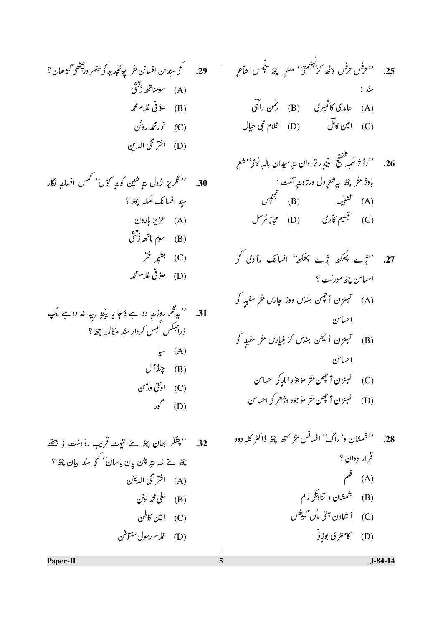$\overline{a}$ 

31. 
$$
{}^{\prime\prime}{}_{z} \stackrel{\sim}{\sim} {}^{\prime}{}_{z} \stackrel{\sim}{\sim} {}^{\prime}{}_{z} \stackrel{\sim}{\sim} {}^{\prime}{}_{z} \stackrel{\sim}{\sim} {}^{\prime}{}_{z} \stackrel{\sim}{\sim} {}^{\prime}{}_{z} \stackrel{\sim}{\sim} {}^{\prime}{}_{z} \stackrel{\sim}{\sim} {}^{\prime}{}_{z} \stackrel{\sim}{\sim} {}^{\prime}{}_{z} \stackrel{\sim}{\sim} {}^{\prime}{}_{z} \stackrel{\sim}{\sim} {}^{\prime}{}_{z} \stackrel{\sim}{\sim} {}^{\prime}{}_{z} \stackrel{\sim}{\sim} {}^{\prime}{}_{z} \stackrel{\sim}{\sim} {}^{\prime}{}_{z} \stackrel{\sim}{\sim} {}^{\prime}{}_{z} \stackrel{\sim}{\sim} {}^{\prime}{}_{z} \stackrel{\sim}{\sim} {}^{\prime}{}_{z} \stackrel{\sim}{\sim} {}^{\prime}{}_{z} \stackrel{\sim}{\sim} {}^{\prime}{}_{z} \stackrel{\sim}{\sim} {}^{\prime}{}_{z} \stackrel{\sim}{\sim} {}^{\prime}{}_{z} \stackrel{\sim}{\sim} {}^{\prime}{}_{z} \stackrel{\sim}{\sim} {}^{\prime}{}_{z} \stackrel{\sim}{\sim} {}^{\prime}{}_{z} \stackrel{\sim}{\sim} {}^{\prime}{}_{z} \stackrel{\sim}{\sim} {}^{\prime}{}_{z} \stackrel{\sim}{\sim} {}^{\prime}{}_{z} \stackrel{\sim}{\sim} {}^{\prime}{}_{z} \stackrel{\sim}{\sim} {}^{\prime}{}_{z} \stackrel{\sim}{\sim} {}^{\prime}{}_{z} \stackrel{\sim}{\sim} {}^{\prime}{}_{z} \stackrel{\sim}{\sim} {}^{\prime}{}_{z} \stackrel{\sim}{\sim} {}^{\prime}{}_{z} \stackrel{\sim}{\sim} {}^{\prime}{}_{z} \stackrel{\sim}{\sim} {}^{\prime}{}_{z} \stackrel{\sim}{\sim} {}^{\prime}{}_{z} \stackrel{\sim}{\sim} {}^{\prime}{}_{z} \stackrel{\sim}{\sim} {}^{\prime}{}_{z} \stackrel{\sim}{\sim} {}^{\prime}{}_{z} \stackrel{\sim}{\sim} {}^{\prime}{}_{z} \stackrel{\sim}{\sim} {}^{\prime}{}_{z} \stackrel{\sim}{\sim} {}^{\prime}{}_{z} \stackrel{\sim}{\sim} {}
$$

$$
\int_0^{\hat{\mathcal{C}}}\mathcal{C}(\mathcal{C})\mathcal{C}(\mathcal{C})=\int_0^{\hat{\mathcal{C}}}t\mathcal{C}(\mathcal{C})
$$

$$
\bigcup_{\mathcal{L}}\mathcal{L}(\mathcal{L})\ \ \mathcal{L}(\mathcal{L})
$$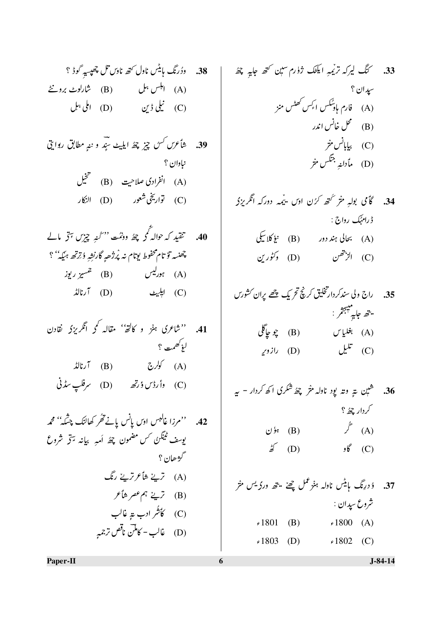38. 
$$
e^{x}x^{2} + e^{x}x^{3}
$$
 (A)  $4x^{3} + 4x^{2}$   
\n(B)  $4x^{2} + 4x^{3}$   
\n(C)  $4x^{2} + 4x^{2}$   
\n(D)  $4x^{2}$   
\n(D)  $4x^{2}$   
\n(E)  $4x^{2}$   
\n(D)  $4x^{2}$   
\n39  
\n30  
\n31  
\n32  
\n34  
\n35  
\n40  
\n5.  $4x^{2} + 4x^{2}$   
\n5.  $4x^{2} + 4x^{2}$   
\n61  
\n62.  $4x^{2} + 4x^{2}$   
\n63.  $4x^{2} + 4x^{2}$   
\n64.  $4x^{2} + 4x^{2}$   
\n65.  $4x^{2} + 4x^{2}$   
\n66.  $4x^{2} + 4x^{2}$   
\n67.  $4x^{2} + 4x^{2}$   
\n68.  $4x^{2} + 4x^{2}$   
\n69.  $4x^{2} + 4x^{2}$   
\n60.  $4x^{2} + 4x^{2}$   
\n61.  $4x^{2} + 4x^{2}$   
\n62.  $4x^{2} + 4x^{2}$   
\n63.  $4x^{2} + 4x^{2}$   
\n64.  $4x^{2} + 4x^{2}$   
\n65.  $4x^{2} + 4x^{2}$   
\n67.  $4x^{2} + 4x^{2}$   
\n68.  $4x^{2} + 4x^{2}$   
\n69.  $4x^{2} + 4x^{2}$   
\n70.  $4x^{2} + 4x^{2}$   
\n81.  $4x^{2} + 4x^{2}$   
\n92.  $4x^{2} + 4x^{2}$   
\n10  
\n11.  $4x^{2} + 4x^{2}$   
\n12.  $4x^{2} + 4x^{2}$   
\n13.  $4x^{2} + 4x^{2}$ 

36. 
$$
\frac{4}{7}
$$
  $\frac{1}{4}$   $\frac{1}{6}$   $\frac{1}{6}$   $\frac{1}{6}$   $\frac{2}{3}$   $\frac{36}{1}$   $\frac{2}{3}$   $\frac{2}{3}$   $\frac{2}{3}$   $\frac{2}{3}$   $\frac{2}{3}$   $\frac{2}{3}$   $\frac{2}{3}$   $\frac{2}{3}$   $\frac{2}{3}$   $\frac{2}{3}$   $\frac{2}{3}$   $\frac{2}{3}$   $\frac{2}{3}$   $\frac{2}{3}$   $\frac{2}{3}$   $\frac{2}{3}$   $\frac{2}{3}$   $\frac{2}{3}$   $\frac{2}{3}$   $\frac{2}{3}$   $\frac{2}{3}$   $\frac{2}{3}$   $\frac{2}{3}$   $\frac{2}{3}$   $\frac{2}{3}$   $\frac{2}{3}$   $\frac{2}{3}$   $\frac{2}{3}$   $\frac{2}{3}$   $\frac{2}{3}$   $\frac{2}{3}$   $\frac{2}{3}$   $\frac{2}{3}$   $\frac{2}{3}$   $\frac{2}{3}$   $\frac{2}{3}$   $\frac{2}{3}$   $\frac{2}{3}$   $\frac{2}{3}$   $\frac{2}{3}$   $\frac{2}{3}$   $\frac{2}{3}$   $\frac{2}{3}$   $\frac{2}{3}$   $\frac{2}{3}$   $\frac{2}{3}$   $\frac{2}{3}$   $\frac{2}{3}$   $\frac{2}{3}$   $\frac{2}{3}$   $\frac{2}{3}$   $\frac{2}{3}$   $\frac{2}{3}$   $\frac{2}{3}$   $\frac{2}{3}$   $\frac{2}{3}$   $\frac{2}{3}$   $\frac{2}{3}$   $\frac{2}{3}$   $\frac{2}{3}$   $\frac{2}{3}$   $\frac{2}{3}$  

75. 
$$
{}_{e}^{e} {}_{e}^{12}
$$
  ${}_{e}^{1801}$   ${}_{e}^{25}$   ${}_{e}^{37}$   ${}_{e}^{27}$   ${}_{e}^{27}$   ${}_{e}^{27}$   ${}_{e}^{27}$   ${}_{e}^{27}$   ${}_{e}^{27}$   ${}_{e}^{27}$   ${}_{e}^{27}$   ${}_{e}^{27}$   ${}_{e}^{27}$   ${}_{e}^{27}$   ${}_{e}^{27}$   ${}_{e}^{27}$   ${}_{e}^{27}$   ${}_{e}^{27}$   ${}_{e}^{27}$   ${}_{e}^{27}$   ${}_{e}^{27}$   ${}_{e}^{27}$   ${}_{e}^{27}$   ${}_{e}^{27}$   ${}_{e}^{27}$   ${}_{e}^{27}$   ${}_{e}^{27}$   ${}_{e}^{27}$   ${}_{e}^{27}$   ${}_{e}^{27}$   ${}_{e}^{27}$   ${}_{e}^{27}$   ${}_{e}^{27}$   ${}_{e}^{27}$   ${}_{e}^{27}$   ${}_{e}^{27}$   ${}_{e}^{27}$   ${}_{e}^{27}$   ${}_{e}^{27}$   ${}_{e}^{27}$   ${}_{e}^{27}$   ${}_{e}^{27}$   ${}_{e}^{27}$   ${}_{e}^{27}$   ${}_{e}^{27}$   ${}_{e}^{27}$   ${}_{e}^{27}$   ${}_{e}^{27}$   ${}_{e}^{27}$   ${}_{e}^{27}$   ${}_{e}^{27}$   ${}_{e}^{27}$   ${}_{e}^{27}$   ${}_{e}^{27}$   ${}_{e}^{27}$   ${}_{e}^{27}$   ${}_{e}^{27}$ 

Paper-II

 $\overline{6}$ 

 $J-84-14$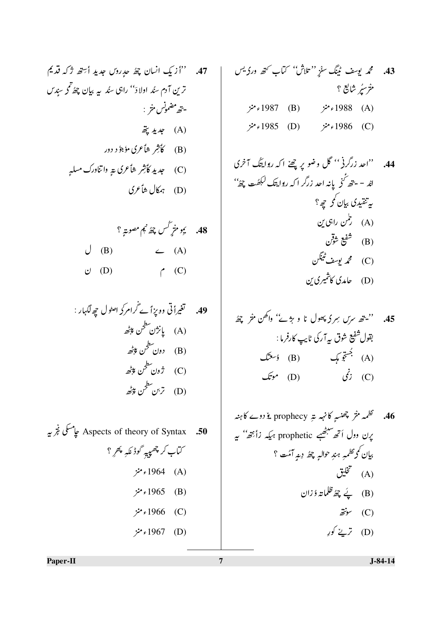$$
\begin{array}{ccc}\n & \text{(B)} & \text{(C)} \\
\text{(D)} & \text{(E)} & \text{(E)} \\
\text{(E)} & \text{(E)} & \text{(E)} \\
\text{(E)} & \text{(E)} & \text{(E)} & \text{(E)} \\
\text{(E)} & \text{(E)} & \text{(E)} & \text{(E)} \\
\end{array}
$$

Aspects of theory of Syntax .50 جامسکی پُریه ۔<br>ساب کر چھپی<sub>ت</sub>ہ گوڈ <sub>نک</sub>ہ پھر ؟  $\ddot{r}$  + 1964 (A)  $\dot{\gamma}$  + 1965 (B)  $\dot{\gamma}$  + 1966 (C)  $\dot{\gamma}$  + 1967 (D)

43. محمد یوسف ٹینگ سنز '' تلاش'' کتاب کتھ ورک<sup>یس</sup> مثر سپُر شايع ؟<br>(A) 1988ء منز (B) 1988ء منز  $\dot{\gamma}$  1985 (D)  $\dot{\gamma}$  1986 (C)

44. ''اعد زرگرنی'' گل وضویر چھے٘ اکہ رہوا پتگ آخری اند - يتھ ٹُم پانہ احد زرگر اکہ رہوا پتک لبکھُت چھُ'' یہ تنقیدی بیان *کم* چھ؟ (A) رخمن راہی ین (B) شَفِيعِ شِوْن (C) محمد بوسف ٹینگن (D) حامدی کاشمیری بن

46. تظمہ مثر چھنسے کا نہہ ہے prophecy یو دوے کا ہنہ یرن وول اُتھ سنبھیے prophetic ہیکہ زائتھ'' ہیر بيان كمى نظميه هند حوالبه چھُ دِبنِهِ آمُت ؟ (A) تخليق (B) یَے چ<sub>ھُ</sub> ظلماتہ وُ زان  $\ddot{\vec{z}}$ y (C) (D) تري<sup>ي</sup> کوړ